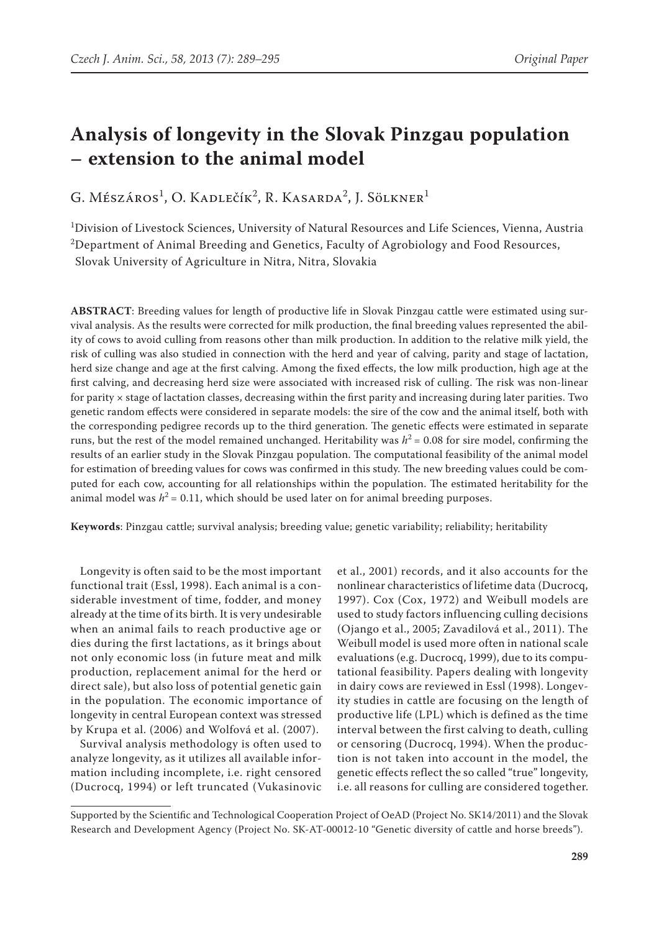# **Analysis of longevity in the Slovak Pinzgau population – extension to the animal model**

G. Mészáros<sup>1</sup>, O. Kadlečík<sup>2</sup>, R. Kasarda<sup>2</sup>, J. Sölkner<sup>1</sup>

1 Division of Livestock Sciences, University of Natural Resources and Life Sciences, Vienna, Austria  $^{2}$ Department of Animal Breeding and Genetics, Faculty of Agrobiology and Food Resources, Slovak University of Agriculture in Nitra, Nitra, Slovakia

**ABSTRACT**: Breeding values for length of productive life in Slovak Pinzgau cattle were estimated using survival analysis. As the results were corrected for milk production, the final breeding values represented the ability of cows to avoid culling from reasons other than milk production. In addition to the relative milk yield, the risk of culling was also studied in connection with the herd and year of calving, parity and stage of lactation, herd size change and age at the first calving. Among the fixed effects, the low milk production, high age at the first calving, and decreasing herd size were associated with increased risk of culling. The risk was non-linear for parity  $\times$  stage of lactation classes, decreasing within the first parity and increasing during later parities. Two genetic random effects were considered in separate models: the sire of the cow and the animal itself, both with the corresponding pedigree records up to the third generation. The genetic effects were estimated in separate runs, but the rest of the model remained unchanged. Heritability was  $h^2 = 0.08$  for sire model, confirming the results of an earlier study in the Slovak Pinzgau population. The computational feasibility of the animal model for estimation of breeding values for cows was confirmed in this study. The new breeding values could be computed for each cow, accounting for all relationships within the population. The estimated heritability for the animal model was  $h^2 = 0.11$ , which should be used later on for animal breeding purposes.

**Keywords**: Pinzgau cattle; survival analysis; breeding value; genetic variability; reliability; heritability

Longevity is often said to be the most important functional trait (Essl, 1998). Each animal is a considerable investment of time, fodder, and money already at the time of its birth. It is very undesirable when an animal fails to reach productive age or dies during the first lactations, as it brings about not only economic loss (in future meat and milk production, replacement animal for the herd or direct sale), but also loss of potential genetic gain in the population. The economic importance of longevity in central European context was stressed by Krupa et al. (2006) and Wolfová et al. (2007).

Survival analysis methodology is often used to analyze longevity, as it utilizes all available information including incomplete, i.e. right censored (Ducrocq, 1994) or left truncated (Vukasinovic et al., 2001) records, and it also accounts for the nonlinear characteristics of lifetime data (Ducrocq, 1997). Cox (Cox, 1972) and Weibull models are used to study factors influencing culling decisions (Ojango et al., 2005; Zavadilová et al., 2011). The Weibull model is used more often in national scale evaluations (e.g. Ducrocq, 1999), due to its computational feasibility. Papers dealing with longevity in dairy cows are reviewed in Essl (1998). Longevity studies in cattle are focusing on the length of productive life (LPL) which is defined as the time interval between the first calving to death, culling or censoring (Ducrocq, 1994). When the production is not taken into account in the model, the genetic effects reflect the so called "true" longevity, i.e. all reasons for culling are considered together.

Supported by the Scientific and Technological Cooperation Project of OeAD (Project No. SK14/2011) and the Slovak Research and Development Agency (Project No. SK-AT-00012-10 "Genetic diversity of cattle and horse breeds").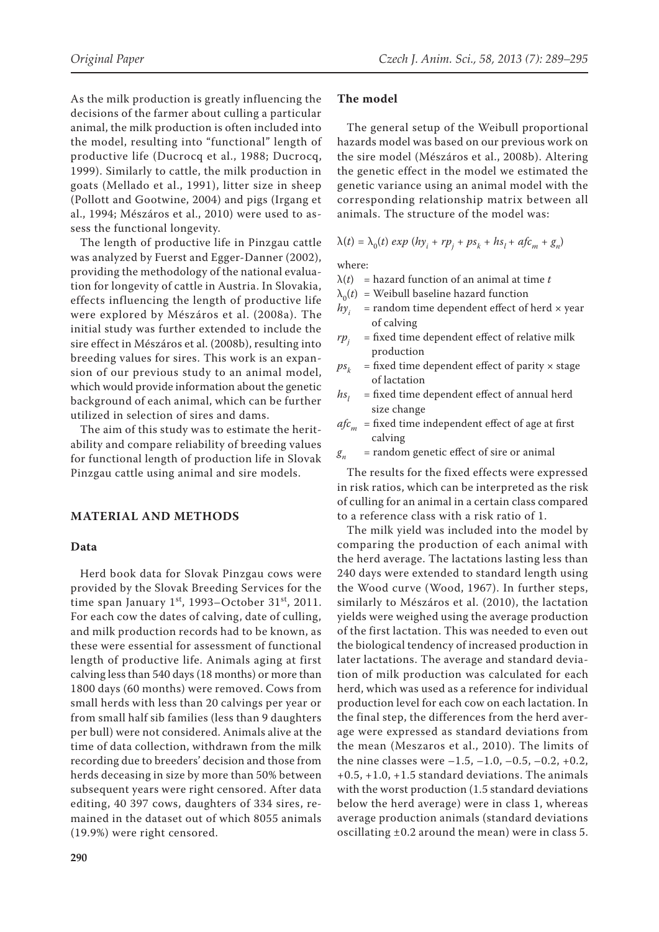As the milk production is greatly influencing the decisions of the farmer about culling a particular animal, the milk production is often included into the model, resulting into "functional" length of productive life (Ducrocq et al., 1988; Ducrocq, 1999). Similarly to cattle, the milk production in goats (Mellado et al., 1991), litter size in sheep (Pollott and Gootwine, 2004) and pigs (Irgang et al., 1994; Mészáros et al., 2010) were used to assess the functional longevity.

The length of productive life in Pinzgau cattle was analyzed by Fuerst and Egger-Danner (2002), providing the methodology of the national evaluation for longevity of cattle in Austria. In Slovakia, effects influencing the length of productive life were explored by Mészáros et al. (2008a). The initial study was further extended to include the sire effect in Mészáros et al. (2008b), resulting into breeding values for sires. This work is an expansion of our previous study to an animal model, which would provide information about the genetic background of each animal, which can be further utilized in selection of sires and dams.

The aim of this study was to estimate the heritability and compare reliability of breeding values for functional length of production life in Slovak Pinzgau cattle using animal and sire models.

## **MATERIAL AND METHODS**

#### **Data**

Herd book data for Slovak Pinzgau cows were provided by the Slovak Breeding Services for the time span January  $1^{st}$ , 1993–October 31 $st$ , 2011. For each cow the dates of calving, date of culling, and milk production records had to be known, as these were essential for assessment of functional length of productive life. Animals aging at first calving less than 540 days (18 months) or more than 1800 days (60 months) were removed. Cows from small herds with less than 20 calvings per year or from small half sib families (less than 9 daughters per bull) were not considered. Animals alive at the time of data collection, withdrawn from the milk recording due to breeders' decision and those from herds deceasing in size by more than 50% between subsequent years were right censored. After data editing, 40 397 cows, daughters of 334 sires, remained in the dataset out of which 8055 animals (19.9%) were right censored.

#### **The model**

The general setup of the Weibull proportional hazards model was based on our previous work on the sire model (Mészáros et al., 2008b). Altering the genetic effect in the model we estimated the genetic variance using an animal model with the corresponding relationship matrix between all animals. The structure of the model was:

$$
\lambda(t) = \lambda_0(t) \exp(hy_i + rp_j + ps_k + hs_l + afc_m + g_n)
$$

where:

- $\lambda(t)$  = hazard function of an animal at time *t*
- $\lambda_0(t)$  = Weibull baseline hazard function
- $h y_i$  = random time dependent effect of herd  $\times$  year of calving
- $rp_i$  = fixed time dependent effect of relative milk production
- $ps_k$  = fixed time dependent effect of parity  $\times$  stage of lactation
- $h s$ <sub>1</sub> = fixed time dependent effect of annual herd size change
- $afc<sub>m</sub>$  = fixed time independent effect of age at first calving
- $g_n$  = random genetic effect of sire or animal

The results for the fixed effects were expressed in risk ratios, which can be interpreted as the risk of culling for an animal in a certain class compared to a reference class with a risk ratio of 1.

The milk yield was included into the model by comparing the production of each animal with the herd average. The lactations lasting less than 240 days were extended to standard length using the Wood curve (Wood, 1967). In further steps, similarly to Mészáros et al. (2010), the lactation yields were weighed using the average production of the first lactation. This was needed to even out the biological tendency of increased production in later lactations. The average and standard deviation of milk production was calculated for each herd, which was used as a reference for individual production level for each cow on each lactation. In the final step, the differences from the herd average were expressed as standard deviations from the mean (Meszaros et al., 2010). The limits of the nine classes were  $-1.5, -1.0, -0.5, -0.2, +0.2$ ,  $+0.5, +1.0, +1.5$  standard deviations. The animals with the worst production (1.5 standard deviations below the herd average) were in class 1, whereas average production animals (standard deviations oscillating *±*0.2 around the mean) were in class 5.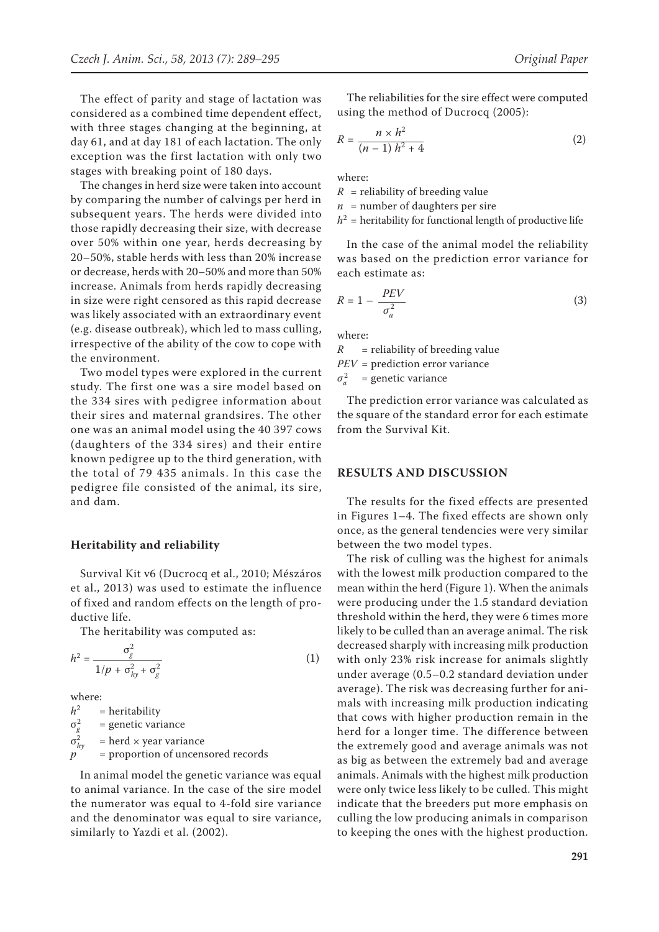The effect of parity and stage of lactation was considered as a combined time dependent effect, with three stages changing at the beginning, at day 61, and at day 181 of each lactation. The only exception was the first lactation with only two stages with breaking point of 180 days.

The changes in herd size were taken into account by comparing the number of calvings per herd in subsequent years. The herds were divided into those rapidly decreasing their size, with decrease over 50% within one year, herds decreasing by 20–50%, stable herds with less than 20% increase or decrease, herds with 20–50% and more than 50% increase. Animals from herds rapidly decreasing in size were right censored as this rapid decrease was likely associated with an extraordinary event (e.g. disease outbreak), which led to mass culling, irrespective of the ability of the cow to cope with the environment.

Two model types were explored in the current study. The first one was a sire model based on the 334 sires with pedigree information about their sires and maternal grandsires. The other one was an animal model using the 40 397 cows (daughters of the 334 sires) and their entire known pedigree up to the third generation, with the total of 79 435 animals. In this case the pedigree file consisted of the animal, its sire, and dam.

#### **Heritability and reliability**

Survival Kit v6 (Ducrocq et al., 2010; Mészáros et al., 2013) was used to estimate the influence of fixed and random effects on the length of productive life.

The heritability was computed as:

$$
h^2 = \frac{\sigma_g^2}{1/p + \sigma_{hy}^2 + \sigma_g^2}
$$
 (1)

where:

*h*2 = heritability  $\sigma_g^2$  = genetic variance  $\sigma_{h}^2$ = herd × year variance *p* = proportion of uncensored records

In animal model the genetic variance was equal to animal variance. In the case of the sire model the numerator was equal to 4-fold sire variance and the denominator was equal to sire variance, similarly to Yazdi et al. (2002).

The reliabilities for the sire effect were computed using the method of Ducrocq (2005):

$$
R = \frac{n \times h^2}{(n-1) h^2 + 4}
$$
 (2)

where:

 $R$  = reliability of breeding value

 $n =$  number of daughters per sire

 $h^2$  = heritability for functional length of productive life

In the case of the animal model the reliability was based on the prediction error variance for each estimate as:

$$
R = 1 - \frac{PEV}{\sigma_a^2} \tag{3}
$$

where:

 $R$  = reliability of breeding value *PEV* = prediction error variance

 $\sigma_a^2$ = genetic variance

The prediction error variance was calculated as the square of the standard error for each estimate from the Survival Kit.

#### **RESULTS AND DISCUSSION**

The results for the fixed effects are presented in Figures 1–4. The fixed effects are shown only once, as the general tendencies were very similar between the two model types.

The risk of culling was the highest for animals with the lowest milk production compared to the mean within the herd (Figure 1). When the animals were producing under the 1.5 standard deviation threshold within the herd, they were 6 times more likely to be culled than an average animal. The risk decreased sharply with increasing milk production with only 23% risk increase for animals slightly under average (0.5–0.2 standard deviation under average). The risk was decreasing further for animals with increasing milk production indicating that cows with higher production remain in the herd for a longer time. The difference between the extremely good and average animals was not as big as between the extremely bad and average animals. Animals with the highest milk production were only twice less likely to be culled. This might indicate that the breeders put more emphasis on culling the low producing animals in comparison to keeping the ones with the highest production.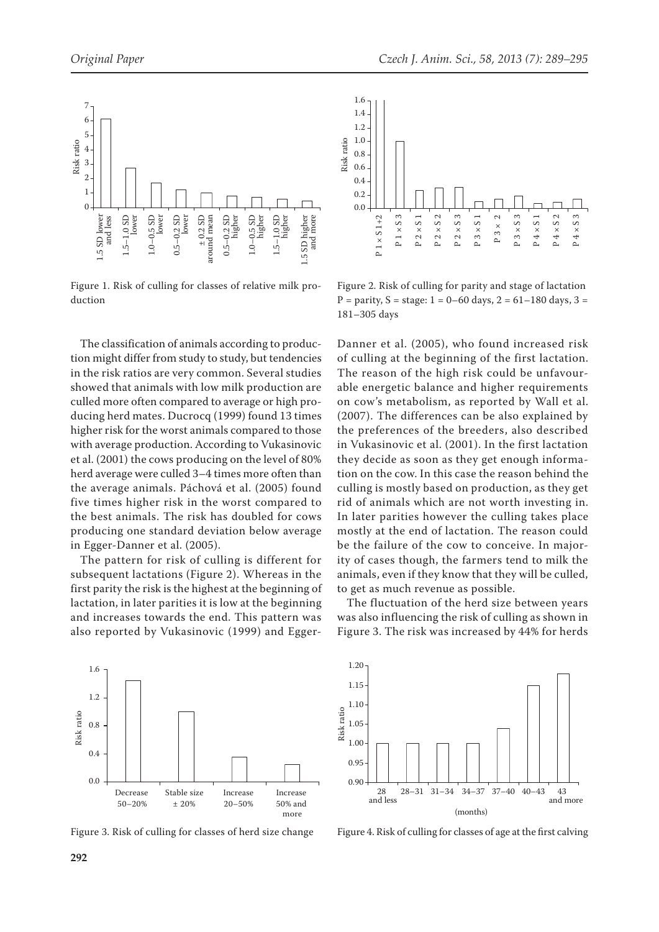

Figure 1. Risk of culling for classes of relative milk production

The classification of animals according to production might differ from study to study, but tendencies in the risk ratios are very common. Several studies showed that animals with low milk production are culled more often compared to average or high producing herd mates. Ducrocq (1999) found 13 times higher risk for the worst animals compared to those with average production. According to Vukasinovic et al. (2001) the cows producing on the level of 80% herd average were culled 3–4 times more often than the average animals. Páchová et al. (2005) found five times higher risk in the worst compared to the best animals. The risk has doubled for cows producing one standard deviation below average in Egger-Danner et al. (2005).

The pattern for risk of culling is different for subsequent lactations (Figure 2). Whereas in the first parity the risk is the highest at the beginning of lactation, in later parities it is low at the beginning and increases towards the end. This pattern was also reported by Vukasinovic (1999) and Egger-



Figure 2. Risk of culling for parity and stage of lactation  $P =$  parity,  $S =$  stage:  $1 = 0 - 60$  days,  $2 = 61 - 180$  days,  $3 =$ 181–305 days

Danner et al. (2005), who found increased risk of culling at the beginning of the first lactation. The reason of the high risk could be unfavourable energetic balance and higher requirements on cow's metabolism, as reported by Wall et al. (2007). The differences can be also explained by the preferences of the breeders, also described in Vukasinovic et al. (2001). In the first lactation they decide as soon as they get enough information on the cow. In this case the reason behind the culling is mostly based on production, as they get rid of animals which are not worth investing in. In later parities however the culling takes place mostly at the end of lactation. The reason could be the failure of the cow to conceive. In majority of cases though, the farmers tend to milk the animals, even if they know that they will be culled, to get as much revenue as possible.

The fluctuation of the herd size between years was also influencing the risk of culling as shown in Figure 3. The risk was increased by 44% for herds





Figure 3. Risk of culling for classes of herd size change Figure 4. Risk of culling for classes of age at the first calving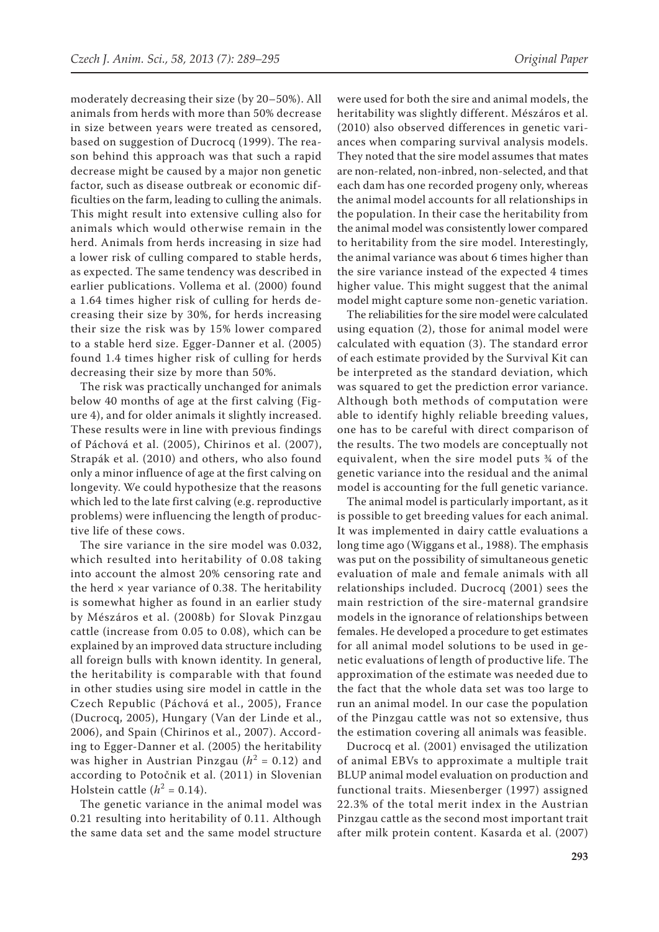moderately decreasing their size (by 20–50%). All animals from herds with more than 50% decrease in size between years were treated as censored, based on suggestion of Ducrocq (1999). The reason behind this approach was that such a rapid decrease might be caused by a major non genetic factor, such as disease outbreak or economic difficulties on the farm, leading to culling the animals. This might result into extensive culling also for animals which would otherwise remain in the herd. Animals from herds increasing in size had a lower risk of culling compared to stable herds, as expected. The same tendency was described in earlier publications. Vollema et al. (2000) found a 1.64 times higher risk of culling for herds decreasing their size by 30%, for herds increasing their size the risk was by 15% lower compared to a stable herd size. Egger-Danner et al. (2005) found 1.4 times higher risk of culling for herds decreasing their size by more than 50%.

The risk was practically unchanged for animals below 40 months of age at the first calving (Figure 4), and for older animals it slightly increased. These results were in line with previous findings of Páchová et al. (2005), Chirinos et al. (2007), Strapák et al. (2010) and others, who also found only a minor influence of age at the first calving on longevity. We could hypothesize that the reasons which led to the late first calving (e.g. reproductive problems) were influencing the length of productive life of these cows.

The sire variance in the sire model was 0.032, which resulted into heritability of 0.08 taking into account the almost 20% censoring rate and the herd  $\times$  year variance of 0.38. The heritability is somewhat higher as found in an earlier study by Mészáros et al. (2008b) for Slovak Pinzgau cattle (increase from 0.05 to 0.08), which can be explained by an improved data structure including all foreign bulls with known identity. In general, the heritability is comparable with that found in other studies using sire model in cattle in the Czech Republic (Páchová et al., 2005), France (Ducrocq, 2005), Hungary (Van der Linde et al., 2006), and Spain (Chirinos et al., 2007). According to Egger-Danner et al. (2005) the heritability was higher in Austrian Pinzgau ( $h^2 = 0.12$ ) and according to Potočnik et al. (2011) in Slovenian Holstein cattle  $(h^2 = 0.14)$ .

The genetic variance in the animal model was 0.21 resulting into heritability of 0.11. Although the same data set and the same model structure

were used for both the sire and animal models, the heritability was slightly different. Mészáros et al. (2010) also observed differences in genetic variances when comparing survival analysis models. They noted that the sire model assumes that mates are non-related, non-inbred, non-selected, and that each dam has one recorded progeny only, whereas the animal model accounts for all relationships in the population. In their case the heritability from the animal model was consistently lower compared to heritability from the sire model. Interestingly, the animal variance was about 6 times higher than the sire variance instead of the expected 4 times higher value. This might suggest that the animal model might capture some non-genetic variation.

The reliabilities for the sire model were calculated using equation (2), those for animal model were calculated with equation (3). The standard error of each estimate provided by the Survival Kit can be interpreted as the standard deviation, which was squared to get the prediction error variance. Although both methods of computation were able to identify highly reliable breeding values, one has to be careful with direct comparison of the results. The two models are conceptually not equivalent, when the sire model puts ¾ of the genetic variance into the residual and the animal model is accounting for the full genetic variance.

The animal model is particularly important, as it is possible to get breeding values for each animal. It was implemented in dairy cattle evaluations a long time ago (Wiggans et al., 1988). The emphasis was put on the possibility of simultaneous genetic evaluation of male and female animals with all relationships included. Ducrocq (2001) sees the main restriction of the sire-maternal grandsire models in the ignorance of relationships between females. He developed a procedure to get estimates for all animal model solutions to be used in genetic evaluations of length of productive life. The approximation of the estimate was needed due to the fact that the whole data set was too large to run an animal model. In our case the population of the Pinzgau cattle was not so extensive, thus the estimation covering all animals was feasible.

Ducrocq et al. (2001) envisaged the utilization of animal EBVs to approximate a multiple trait BLUP animal model evaluation on production and functional traits. Miesenberger (1997) assigned 22.3% of the total merit index in the Austrian Pinzgau cattle as the second most important trait after milk protein content. Kasarda et al. (2007)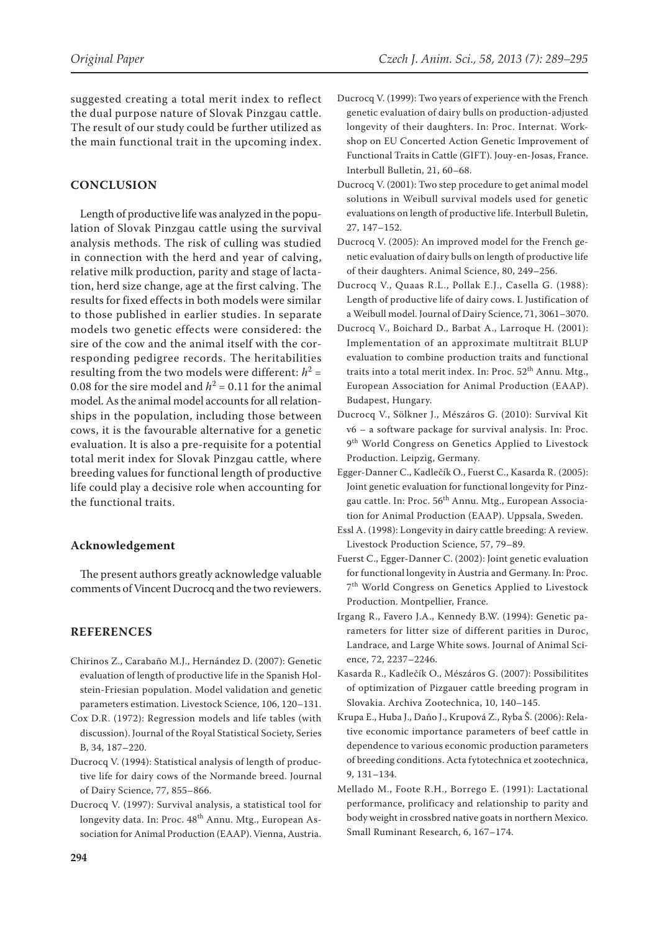suggested creating a total merit index to reflect the dual purpose nature of Slovak Pinzgau cattle. The result of our study could be further utilized as the main functional trait in the upcoming index.

### **CONCLUSION**

Length of productive life was analyzed in the population of Slovak Pinzgau cattle using the survival analysis methods. The risk of culling was studied in connection with the herd and year of calving, relative milk production, parity and stage of lactation, herd size change, age at the first calving. The results for fixed effects in both models were similar to those published in earlier studies. In separate models two genetic effects were considered: the sire of the cow and the animal itself with the corresponding pedigree records. The heritabilities resulting from the two models were different:  $h^2 =$ 0.08 for the sire model and  $h^2 = 0.11$  for the animal model. As the animal model accounts for all relationships in the population, including those between cows, it is the favourable alternative for a genetic evaluation. It is also a pre-requisite for a potential total merit index for Slovak Pinzgau cattle, where breeding values for functional length of productive life could play a decisive role when accounting for the functional traits.

### **Acknowledgement**

The present authors greatly acknowledge valuable comments of Vincent Ducrocq and the two reviewers.

### **REFERENCES**

- Chirinos Z., Carabaño M.J., Hernández D. (2007): Genetic evaluation of length of productive life in the Spanish Holstein-Friesian population. Model validation and genetic parameters estimation. Livestock Science, 106, 120–131.
- Cox D.R. (1972): Regression models and life tables (with discussion). Journal of the Royal Statistical Society, Series B, 34, 187–220.
- Ducrocq V. (1994): Statistical analysis of length of productive life for dairy cows of the Normande breed. Journal of Dairy Science, 77, 855–866.
- Ducrocq V. (1997): Survival analysis, a statistical tool for longevity data. In: Proc. 48<sup>th</sup> Annu. Mtg., European Association for Animal Production (EAAP). Vienna, Austria.
- Ducrocq V. (1999): Two years of experience with the French genetic evaluation of dairy bulls on production-adjusted longevity of their daughters. In: Proc. Internat. Workshop on EU Concerted Action Genetic Improvement of Functional Traits in Cattle (GIFT). Jouy-en-Josas, France. Interbull Bulletin, 21, 60–68.
- Ducrocq V. (2001): Two step procedure to get animal model solutions in Weibull survival models used for genetic evaluations on length of productive life. Interbull Buletin, 27, 147–152.
- Ducrocq V. (2005): An improved model for the French genetic evaluation of dairy bulls on length of productive life of their daughters. Animal Science, 80, 249–256.
- Ducrocq V., Quaas R.L., Pollak E.J., Casella G. (1988): Length of productive life of dairy cows. I. Justification of a Weibull model. Journal of Dairy Science, 71, 3061–3070.
- Ducrocq V., Boichard D., Barbat A., Larroque H. (2001): Implementation of an approximate multitrait BLUP evaluation to combine production traits and functional traits into a total merit index. In: Proc.  $52<sup>th</sup>$  Annu. Mtg., European Association for Animal Production (EAAP). Budapest, Hungary.
- Ducrocq V., Sölkner J., Mészáros G. (2010): Survival Kit v6 – a software package for survival analysis. In: Proc. 9<sup>th</sup> World Congress on Genetics Applied to Livestock Production. Leipzig, Germany.
- Egger-Danner C., Kadlečík O., Fuerst C., Kasarda R. (2005): Joint genetic evaluation for functional longevity for Pinzgau cattle. In: Proc. 56<sup>th</sup> Annu. Mtg., European Association for Animal Production (EAAP). Uppsala, Sweden.
- Essl A. (1998): Longevity in dairy cattle breeding: A review. Livestock Production Science, 57, 79–89.
- Fuerst C., Egger-Danner C. (2002): Joint genetic evaluation for functional longevity in Austria and Germany. In: Proc. 7th World Congress on Genetics Applied to Livestock Production. Montpellier, France.
- Irgang R., Favero J.A., Kennedy B.W. (1994): Genetic parameters for litter size of different parities in Duroc, Landrace, and Large White sows. Journal of Animal Science, 72, 2237–2246.
- Kasarda R., Kadlečík O., Mészáros G. (2007): Possibilitites of optimization of Pizgauer cattle breeding program in Slovakia. Archiva Zootechnica, 10, 140–145.
- Krupa E., Huba J., Daňo J., Krupová Z., Ryba Š. (2006): Relative economic importance parameters of beef cattle in dependence to various economic production parameters of breeding conditions. Acta fytotechnica et zootechnica, 9, 131–134.
- Mellado M., Foote R.H., Borrego E. (1991): Lactational performance, prolificacy and relationship to parity and body weight in crossbred native goats in northern Mexico. Small Ruminant Research, 6, 167–174.